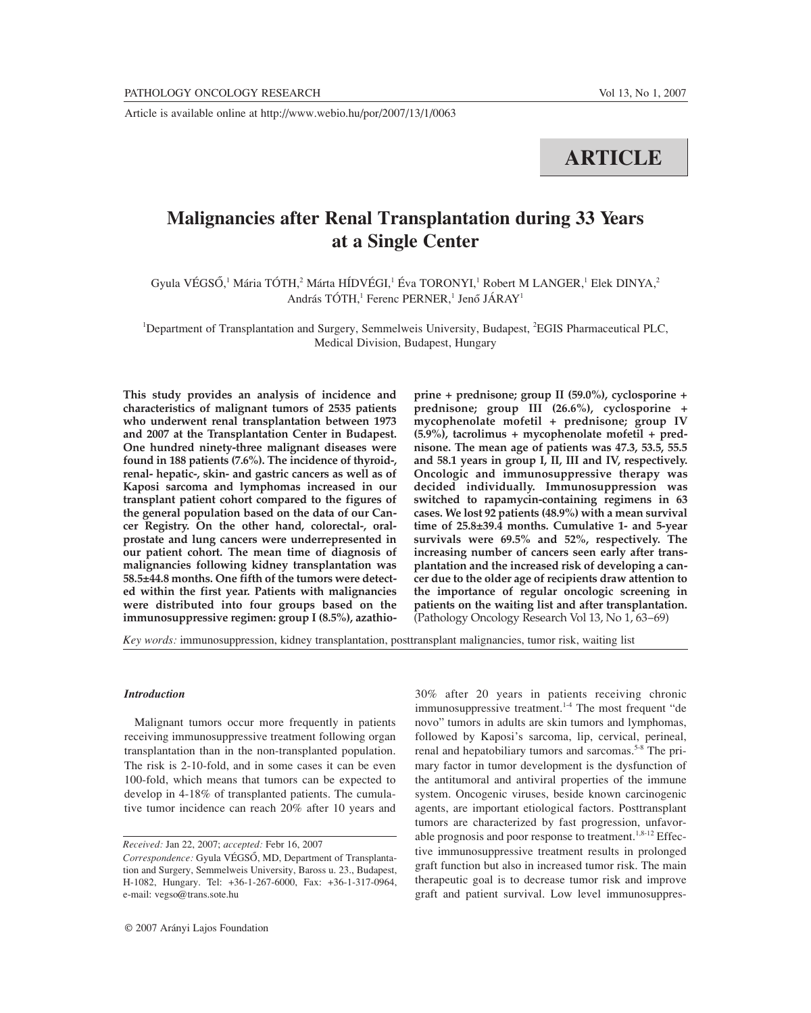**ARTICLE**

# **Malignancies after Renal Transplantation during 33 Years at a Single Center**

Gyula VÉGSŐ,<sup>1</sup> Mária TÓTH,<sup>2</sup> Márta HÍDVÉGI,<sup>1</sup> Éva TORONYI,<sup>1</sup> Robert M LANGER,<sup>1</sup> Elek DINYA,<sup>2</sup> András TÓTH,<sup>1</sup> Ferenc PERNER,<sup>1</sup> Jenő JÁRAY<sup>1</sup>

<sup>1</sup>Department of Transplantation and Surgery, Semmelweis University, Budapest, <sup>2</sup>EGIS Pharmaceutical PLC, Medical Division, Budapest, Hungary

**This study provides an analysis of incidence and characteristics of malignant tumors of 2535 patients who underwent renal transplantation between 1973 and 2007 at the Transplantation Center in Budapest. One hundred ninety-three malignant diseases were found in 188 patients (7.6%). The incidence of thyroid-, renal- hepatic-, skin- and gastric cancers as well as of Kaposi sarcoma and lymphomas increased in our transplant patient cohort compared to the figures of the general population based on the data of our Cancer Registry. On the other hand, colorectal-, oralprostate and lung cancers were underrepresented in our patient cohort. The mean time of diagnosis of malignancies following kidney transplantation was 58.5±44.8 months. One fifth of the tumors were detected within the first year. Patients with malignancies were distributed into four groups based on the immunosuppressive regimen: group I (8.5%), azathio-** **prine + prednisone; group II (59.0%), cyclosporine + prednisone; group III (26.6%), cyclosporine + mycophenolate mofetil + prednisone; group IV (5.9%), tacrolimus + mycophenolate mofetil + prednisone. The mean age of patients was 47.3, 53.5, 55.5 and 58.1 years in group I, II, III and IV, respectively. Oncologic and immunosuppressive therapy was decided individually. Immunosuppression was switched to rapamycin-containing regimens in 63 cases. We lost 92 patients (48.9%) with a mean survival time of 25.8±39.4 months. Cumulative 1- and 5-year survivals were 69.5% and 52%, respectively. The increasing number of cancers seen early after transplantation and the increased risk of developing a cancer due to the older age of recipients draw attention to the importance of regular oncologic screening in patients on the waiting list and after transplantation.** (Pathology Oncology Research Vol 13, No 1, 63–69)

*Key words:* immunosuppression, kidney transplantation, posttransplant malignancies, tumor risk, waiting list

#### *Introduction*

Malignant tumors occur more frequently in patients receiving immunosuppressive treatment following organ transplantation than in the non-transplanted population. The risk is 2-10-fold, and in some cases it can be even 100-fold, which means that tumors can be expected to develop in 4-18% of transplanted patients. The cumulative tumor incidence can reach 20% after 10 years and

*Received:* Jan 22, 2007; *accepted:* Febr 16, 2007

30% after 20 years in patients receiving chronic immunosuppressive treatment.<sup>1-4</sup> The most frequent "de novo" tumors in adults are skin tumors and lymphomas, followed by Kaposi's sarcoma, lip, cervical, perineal, renal and hepatobiliary tumors and sarcomas.<sup>5-8</sup> The primary factor in tumor development is the dysfunction of the antitumoral and antiviral properties of the immune system. Oncogenic viruses, beside known carcinogenic agents, are important etiological factors. Posttransplant tumors are characterized by fast progression, unfavorable prognosis and poor response to treatment.<sup>1,8-12</sup> Effective immunosuppressive treatment results in prolonged graft function but also in increased tumor risk. The main therapeutic goal is to decrease tumor risk and improve graft and patient survival. Low level immunosuppres-

*Correspondence:* Gyula VÉGSÔ, MD, Department of Transplantation and Surgery, Semmelweis University, Baross u. 23., Budapest, H-1082, Hungary. Tel: +36-1-267-6000, Fax: +36-1-317-0964, e-mail: vegso@trans.sote.hu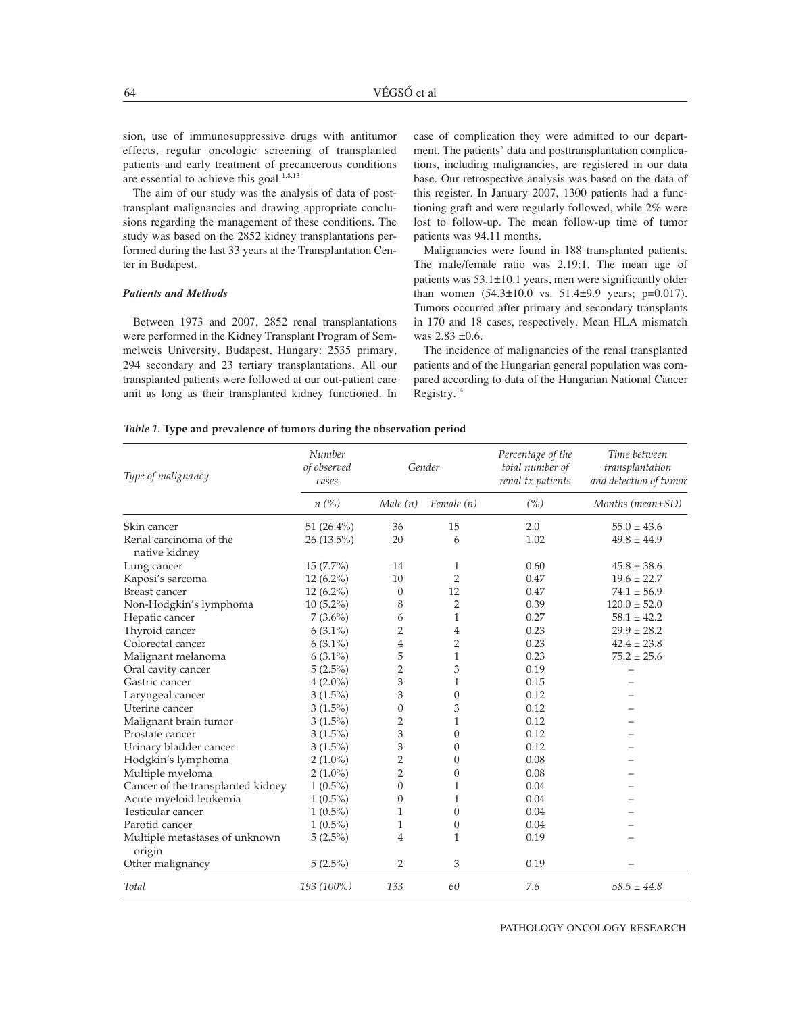sion, use of immunosuppressive drugs with antitumor effects, regular oncologic screening of transplanted patients and early treatment of precancerous conditions are essential to achieve this goal. $1,8,13$ 

The aim of our study was the analysis of data of posttransplant malignancies and drawing appropriate conclusions regarding the management of these conditions. The study was based on the 2852 kidney transplantations performed during the last 33 years at the Transplantation Center in Budapest.

## *Patients and Methods*

Between 1973 and 2007, 2852 renal transplantations were performed in the Kidney Transplant Program of Semmelweis University, Budapest, Hungary: 2535 primary, 294 secondary and 23 tertiary transplantations. All our transplanted patients were followed at our out-patient care unit as long as their transplanted kidney functioned. In case of complication they were admitted to our department. The patients' data and posttransplantation complications, including malignancies, are registered in our data base. Our retrospective analysis was based on the data of this register. In January 2007, 1300 patients had a functioning graft and were regularly followed, while 2% were lost to follow-up. The mean follow-up time of tumor patients was 94.11 months.

Malignancies were found in 188 transplanted patients. The male/female ratio was 2.19:1. The mean age of patients was 53.1±10.1 years, men were significantly older than women  $(54.3 \pm 10.0 \text{ vs. } 51.4 \pm 9.9 \text{ years}; \text{ p=0.017}).$ Tumors occurred after primary and secondary transplants in 170 and 18 cases, respectively. Mean HLA mismatch was 2.83 ±0.6.

The incidence of malignancies of the renal transplanted patients and of the Hungarian general population was compared according to data of the Hungarian National Cancer Registry.14

|  | Table 1. Type and prevalence of tumors during the observation period |  |  |  |  |  |
|--|----------------------------------------------------------------------|--|--|--|--|--|
|--|----------------------------------------------------------------------|--|--|--|--|--|

| Type of malignancy                       | Number<br>of observed<br>Gender<br>cases |                | Percentage of the<br>total number of<br>renal tx patients | Time between<br>transplantation<br>and detection of tumor |                  |
|------------------------------------------|------------------------------------------|----------------|-----------------------------------------------------------|-----------------------------------------------------------|------------------|
|                                          | $n\left(\%\right)$                       | Male(n)        | Female (n)                                                | (%)                                                       | Months (mean±SD) |
| Skin cancer                              | 51 $(26.4\%)$                            | 36             | 15                                                        | 2.0                                                       | $55.0 \pm 43.6$  |
| Renal carcinoma of the<br>native kidney  | 26 (13.5%)                               | 20             | 6                                                         | 1.02                                                      | $49.8 \pm 44.9$  |
| Lung cancer                              | $15(7.7\%)$                              | 14             | 1                                                         | 0.60                                                      | $45.8 \pm 38.6$  |
| Kaposi's sarcoma                         | 12 (6.2%)                                | 10             | $\overline{2}$                                            | 0.47                                                      | $19.6 \pm 22.7$  |
| <b>Breast cancer</b>                     | 12 (6.2%)                                | $\theta$       | 12                                                        | 0.47                                                      | $74.1 \pm 56.9$  |
| Non-Hodgkin's lymphoma                   | $10(5.2\%)$                              | 8              | $\overline{2}$                                            | 0.39                                                      | $120.0 \pm 52.0$ |
| Hepatic cancer                           | $7(3.6\%)$                               | 6              | $\mathbf{1}$                                              | 0.27                                                      | $58.1 \pm 42.2$  |
| Thyroid cancer                           | $6(3.1\%)$                               | 2              | 4                                                         | 0.23                                                      | $29.9 \pm 28.2$  |
| Colorectal cancer                        | $6(3.1\%)$                               | $\overline{4}$ | $\overline{2}$                                            | 0.23                                                      | $42.4 \pm 23.8$  |
| Malignant melanoma                       | $6(3.1\%)$                               | 5              | $\mathbf{1}$                                              | 0.23                                                      | $75.2 \pm 25.6$  |
| Oral cavity cancer                       | $5(2.5\%)$                               | 2              | 3                                                         | 0.19                                                      |                  |
| Gastric cancer                           | $4(2.0\%)$                               | 3              | $\mathbf{1}$                                              | 0.15                                                      |                  |
| Laryngeal cancer                         | $3(1.5\%)$                               | 3              | $\theta$                                                  | 0.12                                                      |                  |
| Uterine cancer                           | $3(1.5\%)$                               | $\theta$       | 3                                                         | 0.12                                                      |                  |
| Malignant brain tumor                    | $3(1.5\%)$                               | 2              | $\mathbf{1}$                                              | 0.12                                                      |                  |
| Prostate cancer                          | $3(1.5\%)$                               | 3              | $\theta$                                                  | 0.12                                                      |                  |
| Urinary bladder cancer                   | $3(1.5\%)$                               | 3              | $\theta$                                                  | 0.12                                                      |                  |
| Hodgkin's lymphoma                       | $2(1.0\%)$                               | 2              | $\theta$                                                  | 0.08                                                      |                  |
| Multiple myeloma                         | $2(1.0\%)$                               | $\overline{2}$ | $\theta$                                                  | 0.08                                                      |                  |
| Cancer of the transplanted kidney        | $1(0.5\%)$                               | $\overline{0}$ | $\mathbf{1}$                                              | 0.04                                                      |                  |
| Acute myeloid leukemia                   | $1(0.5\%)$                               | 0              | $\mathbf{1}$                                              | 0.04                                                      |                  |
| Testicular cancer                        | $1(0.5\%)$                               | 1              | $\theta$                                                  | 0.04                                                      |                  |
| Parotid cancer                           | $1(0.5\%)$                               | 1              | $\theta$                                                  | 0.04                                                      |                  |
| Multiple metastases of unknown<br>origin | $5(2.5\%)$                               | $\overline{4}$ | $\mathbf{1}$                                              | 0.19                                                      |                  |
| Other malignancy                         | $5(2.5\%)$                               | 2              | 3                                                         | 0.19                                                      |                  |
| Total                                    | 193 (100%)                               | 133            | 60                                                        | 7.6                                                       | $58.5 \pm 44.8$  |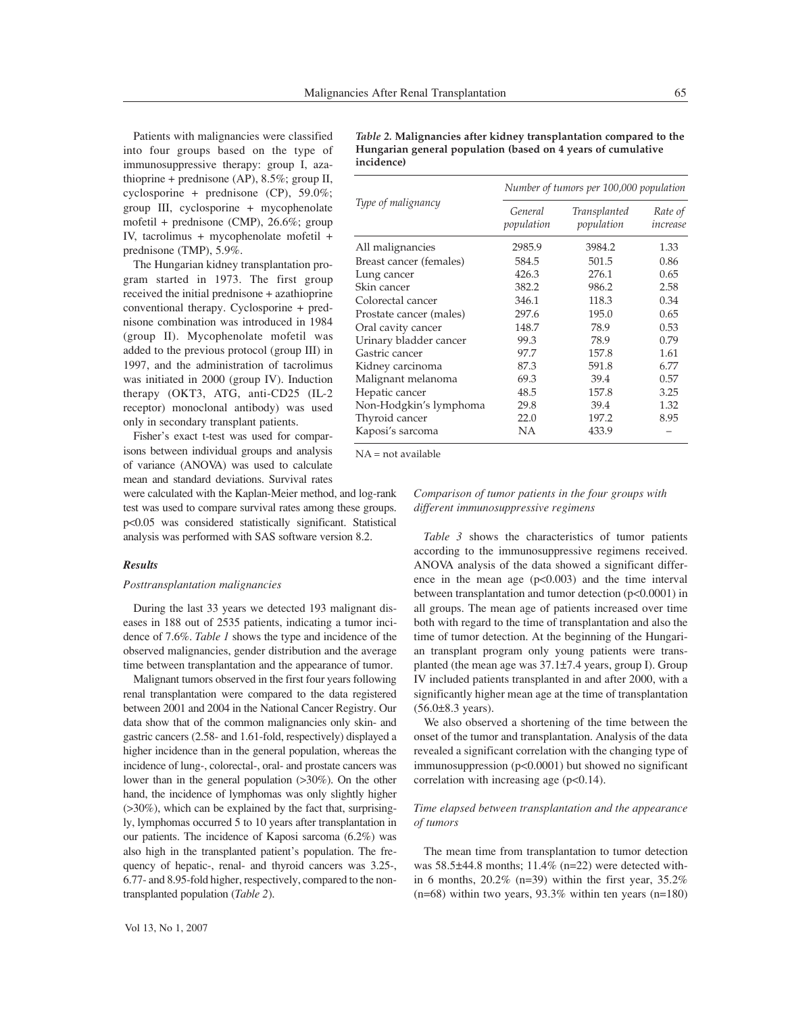Patients with malignancies were classified into four groups based on the type of immunosuppressive therapy: group I, azathioprine + prednisone (AP), 8.5%; group II, cyclosporine + prednisone (CP), 59.0%; group III, cyclosporine + mycophenolate mofetil + prednisone (CMP), 26.6%; group IV, tacrolimus + mycophenolate mofetil + prednisone (TMP), 5.9%.

The Hungarian kidney transplantation program started in 1973. The first group received the initial prednisone + azathioprine conventional therapy. Cyclosporine + prednisone combination was introduced in 1984 (group II). Mycophenolate mofetil was added to the previous protocol (group III) in 1997, and the administration of tacrolimus was initiated in 2000 (group IV). Induction therapy (OKT3, ATG, anti-CD25 (IL-2 receptor) monoclonal antibody) was used only in secondary transplant patients.

Fisher's exact t-test was used for comparisons between individual groups and analysis of variance (ANOVA) was used to calculate mean and standard deviations. Survival rates

were calculated with the Kaplan-Meier method, and log-rank test was used to compare survival rates among these groups. p<0.05 was considered statistically significant. Statistical analysis was performed with SAS software version 8.2.

## *Results*

## *Posttransplantation malignancies*

During the last 33 years we detected 193 malignant diseases in 188 out of 2535 patients, indicating a tumor incidence of 7.6%. *Table 1* shows the type and incidence of the observed malignancies, gender distribution and the average time between transplantation and the appearance of tumor.

Malignant tumors observed in the first four years following renal transplantation were compared to the data registered between 2001 and 2004 in the National Cancer Registry. Our data show that of the common malignancies only skin- and gastric cancers (2.58- and 1.61-fold, respectively) displayed a higher incidence than in the general population, whereas the incidence of lung-, colorectal-, oral- and prostate cancers was lower than in the general population (>30%). On the other hand, the incidence of lymphomas was only slightly higher (>30%), which can be explained by the fact that, surprisingly, lymphomas occurred 5 to 10 years after transplantation in our patients. The incidence of Kaposi sarcoma (6.2%) was also high in the transplanted patient's population. The frequency of hepatic-, renal- and thyroid cancers was 3.25-, 6.77- and 8.95-fold higher, respectively, compared to the nontransplanted population (*Table 2*).

*Table 2.* **Malignancies after kidney transplantation compared to the Hungarian general population (based on 4 years of cumulative incidence)**

| Number of tumors per 100,000 population |                            |                     |  |  |  |
|-----------------------------------------|----------------------------|---------------------|--|--|--|
| General<br>population                   | Transplanted<br>population | Rate of<br>increase |  |  |  |
| 2985.9                                  | 3984.2                     | 1.33                |  |  |  |
| 584.5                                   | 501.5                      | 0.86                |  |  |  |
| 426.3                                   | 276.1                      | 0.65                |  |  |  |
| 382.2                                   | 986.2                      | 2.58                |  |  |  |
| 346.1                                   | 118.3                      | 0.34                |  |  |  |
| 297.6                                   | 195.0                      | 0.65                |  |  |  |
| 148.7                                   | 78.9                       | 0.53                |  |  |  |
| 99.3                                    | 78.9                       | 0.79                |  |  |  |
| 97.7                                    | 157.8                      | 1.61                |  |  |  |
| 87.3                                    | 591.8                      | 6.77                |  |  |  |
| 69.3                                    | 39.4                       | 0.57                |  |  |  |
| 48.5                                    | 157.8                      | 3.25                |  |  |  |
| 29.8                                    | 39.4                       | 1.32                |  |  |  |
| 22.0                                    | 197.2                      | 8.95                |  |  |  |
| NΑ                                      | 433.9                      |                     |  |  |  |
|                                         |                            |                     |  |  |  |

NA = not available

# *Comparison of tumor patients in the four groups with different immunosuppressive regimens*

*Table 3* shows the characteristics of tumor patients according to the immunosuppressive regimens received. ANOVA analysis of the data showed a significant difference in the mean age  $(p<0.003)$  and the time interval between transplantation and tumor detection (p<0.0001) in all groups. The mean age of patients increased over time both with regard to the time of transplantation and also the time of tumor detection. At the beginning of the Hungarian transplant program only young patients were transplanted (the mean age was 37.1±7.4 years, group I). Group IV included patients transplanted in and after 2000, with a significantly higher mean age at the time of transplantation (56.0±8.3 years).

We also observed a shortening of the time between the onset of the tumor and transplantation. Analysis of the data revealed a significant correlation with the changing type of immunosuppression (p<0.0001) but showed no significant correlation with increasing age  $(p<0.14)$ .

# *Time elapsed between transplantation and the appearance of tumors*

The mean time from transplantation to tumor detection was 58.5±44.8 months; 11.4% (n=22) were detected within 6 months,  $20.2\%$  (n=39) within the first year,  $35.2\%$  $(n=68)$  within two years, 93.3% within ten years  $(n=180)$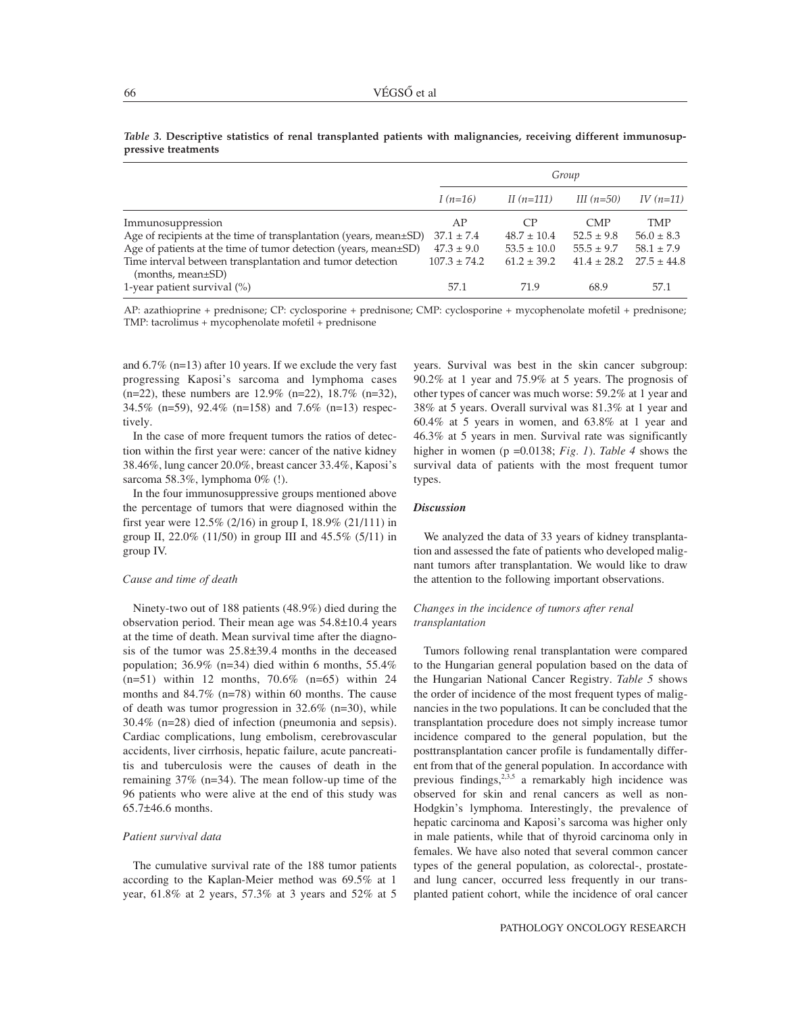|                                                                                      | Group            |                 |                 |                 |  |
|--------------------------------------------------------------------------------------|------------------|-----------------|-----------------|-----------------|--|
|                                                                                      | I $(n=16)$       | II $(n=111)$    | III $(n=50)$    | IV $(n=11)$     |  |
| Immunosuppression                                                                    | AP               | CP              | <b>CMP</b>      | <b>TMP</b>      |  |
| Age of recipients at the time of transplantation (years, mean $\pm$ SD)              | $37.1 \pm 7.4$   | $48.7 \pm 10.4$ | $52.5 \pm 9.8$  | $56.0 \pm 8.3$  |  |
| Age of patients at the time of tumor detection (years, mean±SD)                      | $47.3 \pm 9.0$   | $53.5 \pm 10.0$ | $55.5 \pm 9.7$  | $58.1 \pm 7.9$  |  |
| Time interval between transplantation and tumor detection<br>$(months, mean \pm SD)$ | $107.3 \pm 74.2$ | $61.2 \pm 39.2$ | $41.4 \pm 28.2$ | $27.5 \pm 44.8$ |  |
| 1-year patient survival $(\%)$                                                       | 57.1             | 71.9            | 68.9            | 57.1            |  |

*Table 3.* **Descriptive statistics of renal transplanted patients with malignancies, receiving different immunosuppressive treatments**

AP: azathioprine + prednisone; CP: cyclosporine + prednisone; CMP: cyclosporine + mycophenolate mofetil + prednisone; TMP: tacrolimus + mycophenolate mofetil + prednisone

and 6.7% (n=13) after 10 years. If we exclude the very fast progressing Kaposi's sarcoma and lymphoma cases (n=22), these numbers are 12.9% (n=22), 18.7% (n=32), 34.5% (n=59), 92.4% (n=158) and 7.6% (n=13) respectively.

In the case of more frequent tumors the ratios of detection within the first year were: cancer of the native kidney 38.46%, lung cancer 20.0%, breast cancer 33.4%, Kaposi's sarcoma 58.3%, lymphoma 0% (!).

In the four immunosuppressive groups mentioned above the percentage of tumors that were diagnosed within the first year were 12.5% (2/16) in group I, 18.9% (21/111) in group II, 22.0% (11/50) in group III and  $45.5\%$  (5/11) in group IV.

## *Cause and time of death*

Ninety-two out of 188 patients (48.9%) died during the observation period. Their mean age was 54.8±10.4 years at the time of death. Mean survival time after the diagnosis of the tumor was 25.8±39.4 months in the deceased population; 36.9% (n=34) died within 6 months, 55.4% (n=51) within 12 months, 70.6% (n=65) within 24 months and 84.7% (n=78) within 60 months. The cause of death was tumor progression in 32.6% (n=30), while 30.4% (n=28) died of infection (pneumonia and sepsis). Cardiac complications, lung embolism, cerebrovascular accidents, liver cirrhosis, hepatic failure, acute pancreatitis and tuberculosis were the causes of death in the remaining 37% (n=34). The mean follow-up time of the 96 patients who were alive at the end of this study was 65.7±46.6 months.

## *Patient survival data*

The cumulative survival rate of the 188 tumor patients according to the Kaplan-Meier method was 69.5% at 1 year, 61.8% at 2 years, 57.3% at 3 years and 52% at 5

years. Survival was best in the skin cancer subgroup: 90.2% at 1 year and 75.9% at 5 years. The prognosis of other types of cancer was much worse: 59.2% at 1 year and 38% at 5 years. Overall survival was 81.3% at 1 year and 60.4% at 5 years in women, and 63.8% at 1 year and 46.3% at 5 years in men. Survival rate was significantly higher in women (p =0.0138; *Fig. 1*). *Table 4* shows the survival data of patients with the most frequent tumor types.

## *Discussion*

We analyzed the data of 33 years of kidney transplantation and assessed the fate of patients who developed malignant tumors after transplantation. We would like to draw the attention to the following important observations.

# *Changes in the incidence of tumors after renal transplantation*

Tumors following renal transplantation were compared to the Hungarian general population based on the data of the Hungarian National Cancer Registry. *Table 5* shows the order of incidence of the most frequent types of malignancies in the two populations. It can be concluded that the transplantation procedure does not simply increase tumor incidence compared to the general population, but the posttransplantation cancer profile is fundamentally different from that of the general population. In accordance with previous findings,  $2,3,5$  a remarkably high incidence was observed for skin and renal cancers as well as non-Hodgkin's lymphoma. Interestingly, the prevalence of hepatic carcinoma and Kaposi's sarcoma was higher only in male patients, while that of thyroid carcinoma only in females. We have also noted that several common cancer types of the general population, as colorectal-, prostateand lung cancer, occurred less frequently in our transplanted patient cohort, while the incidence of oral cancer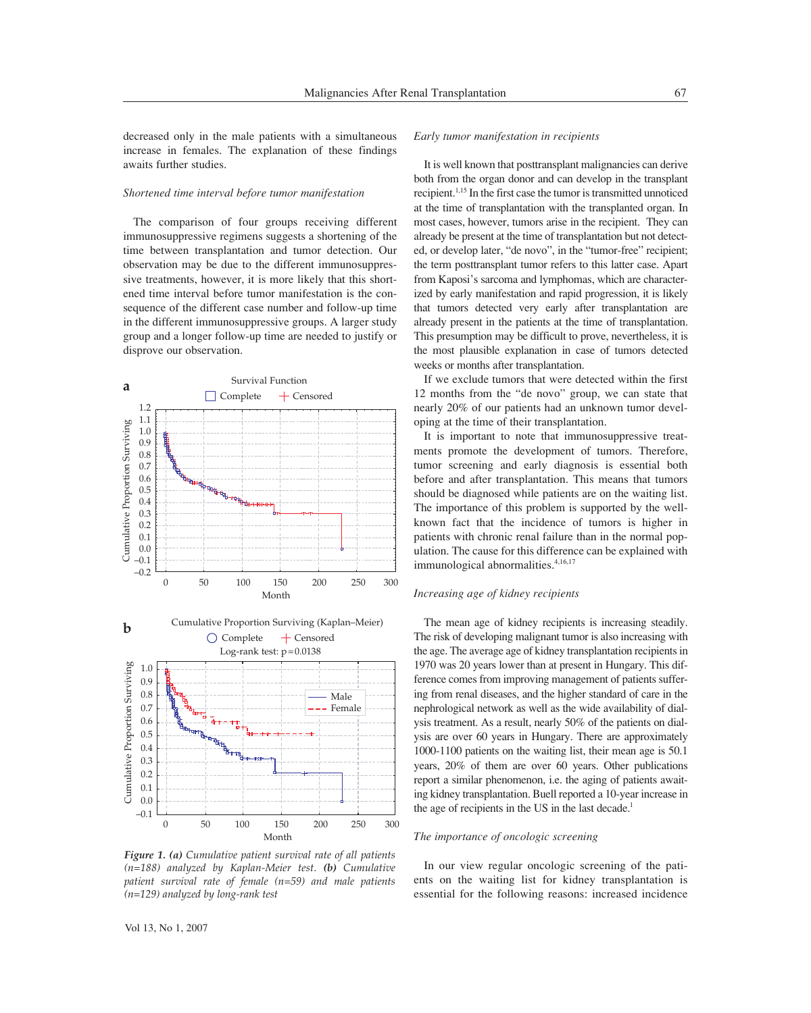decreased only in the male patients with a simultaneous increase in females. The explanation of these findings awaits further studies.

## *Shortened time interval before tumor manifestation*

The comparison of four groups receiving different immunosuppressive regimens suggests a shortening of the time between transplantation and tumor detection. Our observation may be due to the different immunosuppressive treatments, however, it is more likely that this shortened time interval before tumor manifestation is the consequence of the different case number and follow-up time in the different immunosuppressive groups. A larger study group and a longer follow-up time are needed to justify or disprove our observation.



*Figure 1. (a) Cumulative patient survival rate of all patients (n=188) analyzed by Kaplan-Meier test. (b) Cumulative patient survival rate of female (n=59) and male patients (n=129) analyzed by long-rank test* 

#### *Early tumor manifestation in recipients*

It is well known that posttransplant malignancies can derive both from the organ donor and can develop in the transplant recipient.1,15 In the first case the tumor is transmitted unnoticed at the time of transplantation with the transplanted organ. In most cases, however, tumors arise in the recipient. They can already be present at the time of transplantation but not detected, or develop later, "de novo", in the "tumor-free" recipient; the term posttransplant tumor refers to this latter case. Apart from Kaposi's sarcoma and lymphomas, which are characterized by early manifestation and rapid progression, it is likely that tumors detected very early after transplantation are already present in the patients at the time of transplantation. This presumption may be difficult to prove, nevertheless, it is the most plausible explanation in case of tumors detected weeks or months after transplantation.

If we exclude tumors that were detected within the first 12 months from the "de novo" group, we can state that nearly 20% of our patients had an unknown tumor developing at the time of their transplantation.

It is important to note that immunosuppressive treatments promote the development of tumors. Therefore, tumor screening and early diagnosis is essential both before and after transplantation. This means that tumors should be diagnosed while patients are on the waiting list. The importance of this problem is supported by the wellknown fact that the incidence of tumors is higher in patients with chronic renal failure than in the normal population. The cause for this difference can be explained with immunological abnormalities.<sup>4,16,17</sup>

## *Increasing age of kidney recipients*

The mean age of kidney recipients is increasing steadily. The risk of developing malignant tumor is also increasing with the age. The average age of kidney transplantation recipients in 1970 was 20 years lower than at present in Hungary. This difference comes from improving management of patients suffering from renal diseases, and the higher standard of care in the nephrological network as well as the wide availability of dialysis treatment. As a result, nearly 50% of the patients on dialysis are over 60 years in Hungary. There are approximately 1000-1100 patients on the waiting list, their mean age is 50.1 years, 20% of them are over 60 years. Other publications report a similar phenomenon, i.e. the aging of patients awaiting kidney transplantation. Buell reported a 10-year increase in the age of recipients in the US in the last decade.<sup>1</sup>

## *The importance of oncologic screening*

In our view regular oncologic screening of the patients on the waiting list for kidney transplantation is essential for the following reasons: increased incidence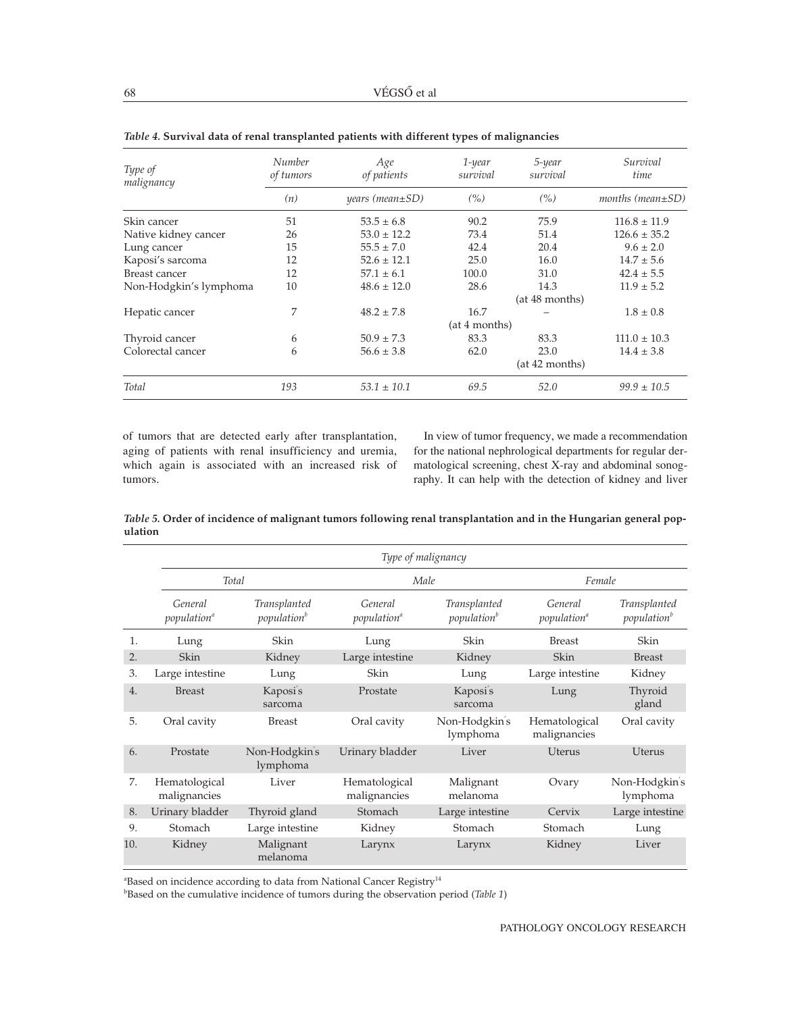| Type of<br>malignancy  | Number<br>of tumors | Age<br>of patients    | $1$ -year<br>survival | 5-year<br>survival | Survival<br>time        |
|------------------------|---------------------|-----------------------|-----------------------|--------------------|-------------------------|
|                        | (n)                 | $years (mean \pm SD)$ | (% )                  | $($ %)             | months (mean $\pm SD$ ) |
| Skin cancer            | 51                  | $53.5 \pm 6.8$        | 90.2                  | 75.9               | $116.8 \pm 11.9$        |
| Native kidney cancer   | 26                  | $53.0 \pm 12.2$       | 73.4                  | 51.4               | $126.6 \pm 35.2$        |
| Lung cancer            | 15                  | $55.5 \pm 7.0$        | 42.4                  | 20.4               | $9.6 \pm 2.0$           |
| Kaposi's sarcoma       | 12                  | $52.6 \pm 12.1$       | 25.0                  | 16.0               | $14.7 \pm 5.6$          |
| Breast cancer          | 12                  | $57.1 \pm 6.1$        | 100.0                 | 31.0               | $42.4 \pm 5.5$          |
| Non-Hodgkin's lymphoma | 10                  | $48.6 \pm 12.0$       | 28.6                  | 14.3               | $11.9 \pm 5.2$          |
|                        |                     |                       |                       | (at 48 months)     |                         |
| Hepatic cancer         | 7                   | $48.2 \pm 7.8$        | 16.7                  |                    | $1.8 \pm 0.8$           |
|                        |                     | (at 4 months)         |                       |                    |                         |
| Thyroid cancer         | 6                   | $50.9 \pm 7.3$        | 83.3                  | 83.3               | $111.0 \pm 10.3$        |
| Colorectal cancer      | 6                   | $56.6 \pm 3.8$        | 62.0                  | 23.0               | $14.4 \pm 3.8$          |
|                        |                     |                       |                       | (at 42 months)     |                         |
| Total                  | 193                 | $53.1 \pm 10.1$       | 69.5                  | 52.0               | $99.9 \pm 10.5$         |

*Table 4.* **Survival data of renal transplanted patients with different types of malignancies**

of tumors that are detected early after transplantation, aging of patients with renal insufficiency and uremia, which again is associated with an increased risk of tumors.

In view of tumor frequency, we made a recommendation for the national nephrological departments for regular dermatological screening, chest X-ray and abdominal sonography. It can help with the detection of kidney and liver

*Table 5.* **Order of incidence of malignant tumors following renal transplantation and in the Hungarian general population**

|                  |                                          |                                         | Type of malignancy                       |                                         |                                          |                                         |
|------------------|------------------------------------------|-----------------------------------------|------------------------------------------|-----------------------------------------|------------------------------------------|-----------------------------------------|
|                  |                                          | Total                                   |                                          | Male                                    | Female                                   |                                         |
|                  | General<br><i>population<sup>®</sup></i> | Transplanted<br>population <sup>b</sup> | General<br><i>population<sup>a</sup></i> | Transplanted<br>population <sup>b</sup> | General<br><i>population<sup>®</sup></i> | Transplanted<br>population <sup>b</sup> |
| 1.               | Lung                                     | Skin                                    | Lung                                     | Skin                                    | <b>Breast</b>                            | Skin                                    |
| 2.               | <b>Skin</b>                              | Kidney                                  | Large intestine                          | Kidney                                  | <b>Skin</b>                              | <b>Breast</b>                           |
| 3.               | Large intestine                          | Lung                                    | Skin                                     | Lung                                    | Large intestine                          | Kidney                                  |
| $\overline{4}$ . | <b>Breast</b>                            | Kaposi's<br>sarcoma                     | Prostate                                 | Kaposi's<br>sarcoma                     | Lung                                     | Thyroid<br>gland                        |
| 5.               | Oral cavity                              | <b>Breast</b>                           | Oral cavity                              | Non-Hodgkin's<br>lymphoma               | Hematological<br>malignancies            | Oral cavity                             |
| 6.               | Prostate                                 | Non-Hodgkin's<br>lymphoma               | Urinary bladder                          | Liver                                   | <b>Uterus</b>                            | <b>Uterus</b>                           |
| 7.               | Hematological<br>malignancies            | Liver                                   | Hematological<br>malignancies            | Malignant<br>melanoma                   | Ovary                                    | Non-Hodgkin's<br>lymphoma               |
| 8.               | Urinary bladder                          | Thyroid gland                           | Stomach                                  | Large intestine                         | Cervix                                   | Large intestine                         |
| 9.               | Stomach                                  | Large intestine                         | Kidney                                   | Stomach                                 | Stomach                                  | Lung                                    |
| 10.              | Kidney                                   | Malignant<br>melanoma                   | Larynx                                   | Larynx                                  | Kidney                                   | Liver                                   |

 $a$ Based on incidence according to data from National Cancer Registry $^{14}$ 

b Based on the cumulative incidence of tumors during the observation period (*Table 1*)